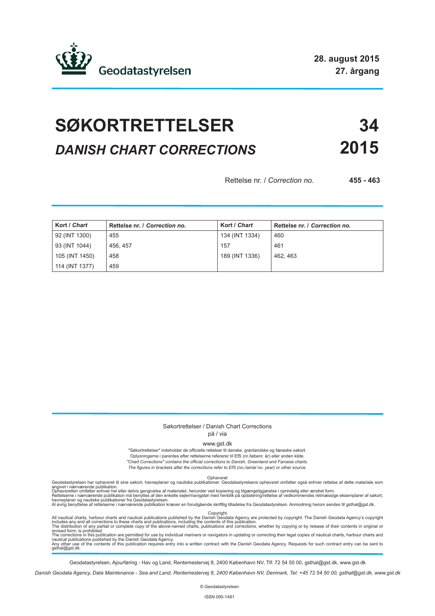

# **SØKORTRETTELSER 34** *DANISH CHART CORRECTIONS* **2015**

Rettelse nr. / *Correction no.* **455 - 463**

| Kort / Chart   | Rettelse nr. / Correction no. | Kort / Chart   | Rettelse nr. / Correction no. |
|----------------|-------------------------------|----------------|-------------------------------|
| 92 (INT 1300)  | 455                           | 134 (INT 1334) | 460                           |
| 93 (INT 1044)  | 456.457                       | 157            | 461                           |
| 105 (INT 1450) | 458                           | 189 (INT 1336) | 462.463                       |
| 114 (INT 1377) | 459                           |                |                               |

#### Søkortrettelser / Danish Chart Corrections på / via

www.gst.dk

"Søkortrettelser" indeholder de officielle rettelser til danske, grønlandske og færøske søkort. Oplysningerne i parentes efter rettelserne refererer til EfS (nr./løbenr. år) eller anden kilde. *"Chart Corrections" contains the official corrections to Danish, Greenland and Faroese charts. The figures in brackets after the corrections refer to EfS (no./serial no. year) or other source.*

Geodatastyrelsen har ophavsret til sine søkort, havneplaner og nautiske publikationer. Geodatastyrelsens ophavsret omfatter også enhver rettelse af dette materiale som<br>Ophavsretten omfatter enhver hel eller delvis gengivel

All nautical charts, harbour charts and nautical publications published by the Dopyright<br>includes any and all corrections to these charts and publications, including the contents of this publication.<br>The distribution of an

Geodatastyrelsen, Ajourføring - Hav og Land, Rentemestervej 8, 2400 København NV, Tlf: 72 54 50 00, gsthal@gst.dk, www.gst.dk

*Danish Geodata Agency, Data Maintenance - Sea and Land, Rentemestervej 8, 2400 København NV, Denmark, Tel: +45 72 54 50 00, gsthal@gst.dk, www.gst.dk*

© Geodatastyrelsen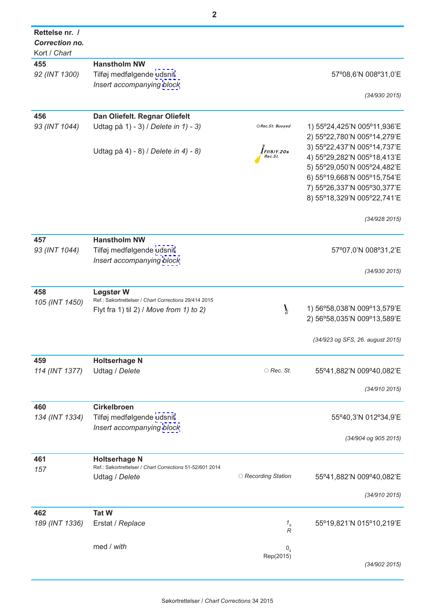| Rettelse nr. /<br><b>Correction no.</b><br>Kort / Chart |                                                          |                             |                                  |
|---------------------------------------------------------|----------------------------------------------------------|-----------------------------|----------------------------------|
| 455                                                     | <b>Hanstholm NW</b>                                      |                             |                                  |
| 92 (INT 1300)                                           | Tilføj medfølgende udsnit                                |                             | 57°08,6'N 008°31,0'E             |
|                                                         | Insert accompanying block                                |                             |                                  |
|                                                         |                                                          |                             | (34/930 2015)                    |
|                                                         |                                                          |                             |                                  |
| 456                                                     | Dan Oliefelt. Regnar Oliefelt                            |                             |                                  |
| 93 (INT 1044)                                           | Udtag på 1) - 3) / Delete in 1) - 3)                     | ORec.St. Buoyed             | 1) 55°24,425'N 005°11,936'E      |
|                                                         |                                                          |                             | 2) 55°22,780'N 005°14,279'E      |
|                                                         |                                                          |                             | 3) 55°22,437'N 005°14,737'E      |
|                                                         | Udtag på 4) - 8) / Delete in 4) - 8)                     | $I_{FI(5)Y.20s}$<br>Rec.St. | 4) 55°29,282'N 005°18,413'E      |
|                                                         |                                                          |                             |                                  |
|                                                         |                                                          |                             | 5) 55°29,050'N 005°24,482'E      |
|                                                         |                                                          |                             | 6) 55°19,668'N 005°15,754'E      |
|                                                         |                                                          |                             | 7) 55°26,337'N 005°30,377'E      |
|                                                         |                                                          |                             | 8) 55°18,329'N 005°22,741'E      |
|                                                         |                                                          |                             | (34/928 2015)                    |
| 457                                                     | <b>Hanstholm NW</b>                                      |                             |                                  |
| 93 (INT 1044)                                           | Tilføj medfølgende udsnit                                |                             | 57°07,0'N 008°31,2'E             |
|                                                         |                                                          |                             |                                  |
|                                                         | Insert accompanying block                                |                             |                                  |
|                                                         |                                                          |                             | (34/930 2015)                    |
| 458                                                     | Løgstør W                                                |                             |                                  |
| 105 (INT 1450)                                          | Ref.: Søkortrettelser / Chart Corrections 29/414 2015    |                             |                                  |
|                                                         | Flyt fra 1) til 2) / Move from 1) to 2)                  | $\tilde{I}$                 | 1) 56°58,038'N 009°13,579'E      |
|                                                         |                                                          |                             | 2) 56°58,035'N 009°13,589'E      |
|                                                         |                                                          |                             |                                  |
|                                                         |                                                          |                             | (34/923 og SFS, 26. august 2015) |
| 459                                                     | <b>Holtserhage N</b>                                     |                             |                                  |
| 114 (INT 1377)                                          | Udtag / Delete                                           | $\bigcirc$ Rec. St.         | 55°41,882'N 009°40,082'E         |
|                                                         |                                                          |                             |                                  |
|                                                         |                                                          |                             | (34/910 2015)                    |
|                                                         |                                                          |                             |                                  |
| 460                                                     | <b>Cirkelbroen</b>                                       |                             |                                  |
| 134 (INT 1334)                                          | Tilføj medfølgende udsnit                                |                             | 55°40,3'N 012°34,9'E             |
|                                                         | Insert accompanying block                                |                             |                                  |
|                                                         |                                                          |                             | (34/904 og 905 2015)             |
| 461                                                     | <b>Holtserhage N</b>                                     |                             |                                  |
| 157                                                     | Ref.: Søkortrettelser / Chart Corrections 51-52/601 2014 |                             |                                  |
|                                                         | Udtag / Delete                                           | ○ Recording Station         | 55°41,882'N 009°40,082'E         |
|                                                         |                                                          |                             |                                  |
|                                                         |                                                          |                             | (34/910 2015)                    |
| 462                                                     | <b>Tat W</b>                                             |                             |                                  |
| 189 (INT 1336)                                          | Erstat / Replace                                         | $1_{8}$                     | 55°19,821'N 015°10,219'E         |
|                                                         |                                                          | R                           |                                  |
|                                                         | med / with                                               |                             |                                  |
|                                                         |                                                          | 0 <sub>4</sub><br>Rep(2015) |                                  |
|                                                         |                                                          |                             | (34/902 2015)                    |
|                                                         |                                                          |                             |                                  |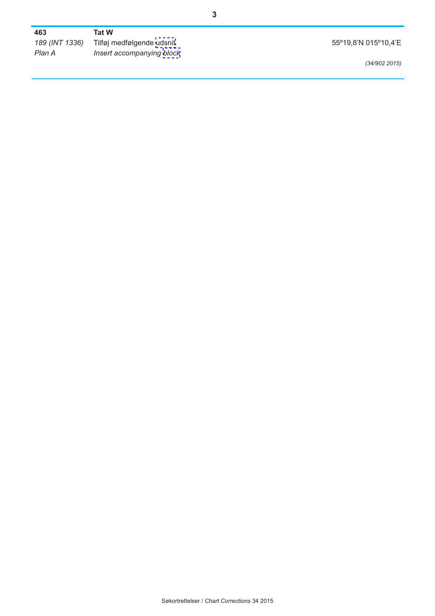| 463            | Tat W                     |                      |
|----------------|---------------------------|----------------------|
| 189 (INT 1336) | Tilføj medfølgende udsnit | 55°19,8'N 015°10,4'E |
| Plan A         | Insert accompanying block |                      |
|                |                           | (34/902 2015)        |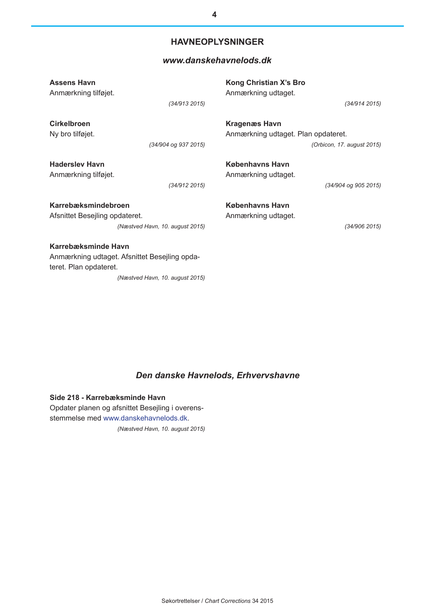## **HAVNEOPLYSNINGER**

### *[www.danskehavnelods.dk](www.danskehavnelods.dk/#HID=164)*

| <b>Assens Havn</b>                                                                                                                | Kong Christian X's Bro              |
|-----------------------------------------------------------------------------------------------------------------------------------|-------------------------------------|
| Anmærkning tilføjet.                                                                                                              | Anmærkning udtaget.                 |
| (34/913 2015)                                                                                                                     | (34/914 2015)                       |
| <b>Cirkelbroen</b>                                                                                                                | <b>Kragenæs Havn</b>                |
| Ny bro tilføjet.                                                                                                                  | Anmærkning udtaget. Plan opdateret. |
| (34/904 og 937 2015)                                                                                                              | (Orbicon, 17. august 2015)          |
| <b>Haderslev Havn</b>                                                                                                             | Københavns Havn                     |
| Anmærkning tilføjet.                                                                                                              | Anmærkning udtaget.                 |
| (34/912 2015)                                                                                                                     | (34/904 og 905 2015)                |
| Karrebæksmindebroen                                                                                                               | Københavns Havn                     |
| Afsnittet Besejling opdateret.                                                                                                    | Anmærkning udtaget.                 |
| (Næstved Havn, 10. august 2015)                                                                                                   | (34/906 2015)                       |
| Karrebæksminde Havn<br>Anmærkning udtaget. Afsnittet Besejling opda-<br>teret. Plan opdateret.<br>(Næstved Havn, 10. august 2015) |                                     |

# *Den [danske Havnelods, Erhvervshavne](http://danskehavnelods.dk/%23HID%3D266)*

**Side 218 - Karrebæksminde Havn** Opdater planen og afsnittet Besejling i overensstemmelse med [www.danskehavnelods.dk.](http://danskehavnelods.dk/#HID=164) *(Næstved Havn, 10. august 2015)*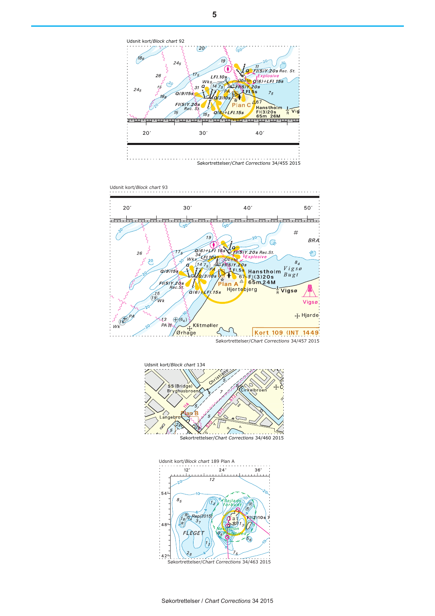<span id="page-4-0"></span>

Udsnit kort/*Block chart* 93







Søkortrettelser/*Chart Corrections* 34/463 2015